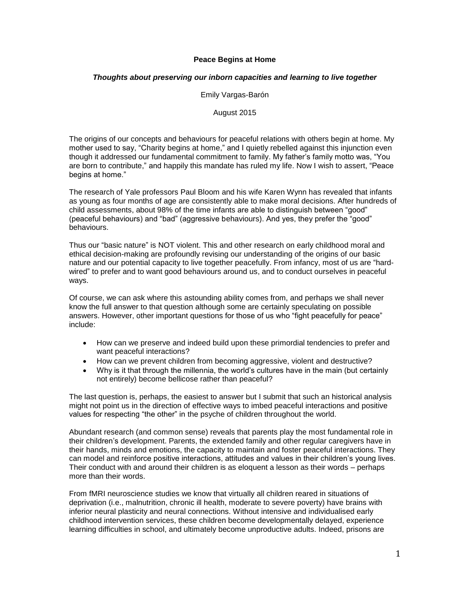# **Peace Begins at Home**

# *Thoughts about preserving our inborn capacities and learning to live together*

## Emily Vargas-Barón

## August 2015

The origins of our concepts and behaviours for peaceful relations with others begin at home. My mother used to say, "Charity begins at home," and I quietly rebelled against this injunction even though it addressed our fundamental commitment to family. My father's family motto was, "You are born to contribute," and happily this mandate has ruled my life. Now I wish to assert, "Peace begins at home."

The research of Yale professors Paul Bloom and his wife Karen Wynn has revealed that infants as young as four months of age are consistently able to make moral decisions. After hundreds of child assessments, about 98% of the time infants are able to distinguish between "good" (peaceful behaviours) and "bad" (aggressive behaviours). And yes, they prefer the "good" behaviours.

Thus our "basic nature" is NOT violent. This and other research on early childhood moral and ethical decision-making are profoundly revising our understanding of the origins of our basic nature and our potential capacity to live together peacefully. From infancy, most of us are "hardwired" to prefer and to want good behaviours around us, and to conduct ourselves in peaceful ways.

Of course, we can ask where this astounding ability comes from, and perhaps we shall never know the full answer to that question although some are certainly speculating on possible answers. However, other important questions for those of us who "fight peacefully for peace" include:

- How can we preserve and indeed build upon these primordial tendencies to prefer and want peaceful interactions?
- How can we prevent children from becoming aggressive, violent and destructive?
- Why is it that through the millennia, the world's cultures have in the main (but certainly not entirely) become bellicose rather than peaceful?

The last question is, perhaps, the easiest to answer but I submit that such an historical analysis might not point us in the direction of effective ways to imbed peaceful interactions and positive values for respecting "the other" in the psyche of children throughout the world.

Abundant research (and common sense) reveals that parents play the most fundamental role in their children's development. Parents, the extended family and other regular caregivers have in their hands, minds and emotions, the capacity to maintain and foster peaceful interactions. They can model and reinforce positive interactions, attitudes and values in their children's young lives. Their conduct with and around their children is as eloquent a lesson as their words – perhaps more than their words.

From fMRI neuroscience studies we know that virtually all children reared in situations of deprivation (i.e., malnutrition, chronic ill health, moderate to severe poverty) have brains with inferior neural plasticity and neural connections. Without intensive and individualised early childhood intervention services, these children become developmentally delayed, experience learning difficulties in school, and ultimately become unproductive adults. Indeed, prisons are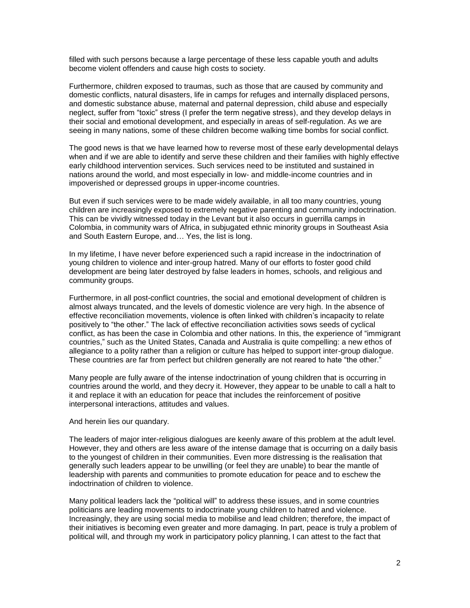filled with such persons because a large percentage of these less capable youth and adults become violent offenders and cause high costs to society.

Furthermore, children exposed to traumas, such as those that are caused by community and domestic conflicts, natural disasters, life in camps for refuges and internally displaced persons, and domestic substance abuse, maternal and paternal depression, child abuse and especially neglect, suffer from "toxic" stress (I prefer the term negative stress), and they develop delays in their social and emotional development, and especially in areas of self-regulation. As we are seeing in many nations, some of these children become walking time bombs for social conflict.

The good news is that we have learned how to reverse most of these early developmental delays when and if we are able to identify and serve these children and their families with highly effective early childhood intervention services. Such services need to be instituted and sustained in nations around the world, and most especially in low- and middle-income countries and in impoverished or depressed groups in upper-income countries.

But even if such services were to be made widely available, in all too many countries, young children are increasingly exposed to extremely negative parenting and community indoctrination. This can be vividly witnessed today in the Levant but it also occurs in guerrilla camps in Colombia, in community wars of Africa, in subjugated ethnic minority groups in Southeast Asia and South Eastern Europe, and… Yes, the list is long.

In my lifetime, I have never before experienced such a rapid increase in the indoctrination of young children to violence and inter-group hatred. Many of our efforts to foster good child development are being later destroyed by false leaders in homes, schools, and religious and community groups.

Furthermore, in all post-conflict countries, the social and emotional development of children is almost always truncated, and the levels of domestic violence are very high. In the absence of effective reconciliation movements, violence is often linked with children's incapacity to relate positively to "the other." The lack of effective reconciliation activities sows seeds of cyclical conflict, as has been the case in Colombia and other nations. In this, the experience of "immigrant countries," such as the United States, Canada and Australia is quite compelling: a new ethos of allegiance to a polity rather than a religion or culture has helped to support inter-group dialogue. These countries are far from perfect but children generally are not reared to hate "the other."

Many people are fully aware of the intense indoctrination of young children that is occurring in countries around the world, and they decry it. However, they appear to be unable to call a halt to it and replace it with an education for peace that includes the reinforcement of positive interpersonal interactions, attitudes and values.

## And herein lies our quandary.

The leaders of major inter-religious dialogues are keenly aware of this problem at the adult level. However, they and others are less aware of the intense damage that is occurring on a daily basis to the youngest of children in their communities. Even more distressing is the realisation that generally such leaders appear to be unwilling (or feel they are unable) to bear the mantle of leadership with parents and communities to promote education for peace and to eschew the indoctrination of children to violence.

Many political leaders lack the "political will" to address these issues, and in some countries politicians are leading movements to indoctrinate young children to hatred and violence. Increasingly, they are using social media to mobilise and lead children; therefore, the impact of their initiatives is becoming even greater and more damaging. In part, peace is truly a problem of political will, and through my work in participatory policy planning, I can attest to the fact that